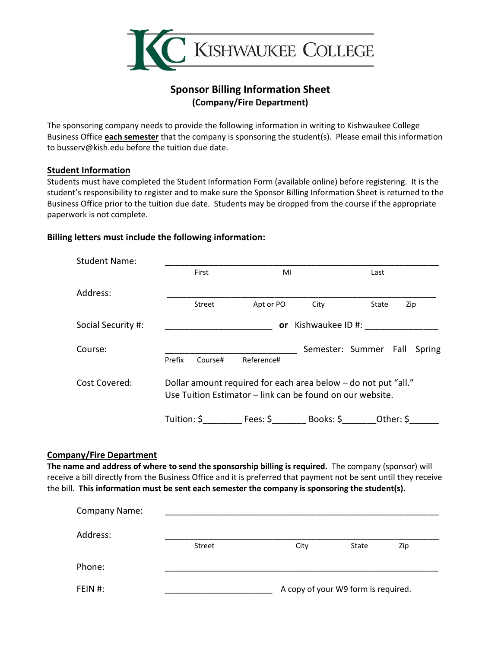

# **Sponsor Billing Information Sheet (Company/Fire Department)**

The sponsoring company needs to provide the following information in writing to Kishwaukee College Business Office **each semester** that the company is sponsoring the student(s). Please email this information to busserv@kish.edu before the tuition due date.

### **Student Information**

Students must have completed the Student Information Form (available online) before registering. It is the student's responsibility to register and to make sure the Sponsor Billing Information Sheet is returned to the Business Office prior to the tuition due date. Students may be dropped from the course if the appropriate paperwork is not complete.

### **Billing letters must include the following information:**

| <b>Student Name:</b> |                                                                                                                             |         |            |                  |                       |        |  |  |
|----------------------|-----------------------------------------------------------------------------------------------------------------------------|---------|------------|------------------|-----------------------|--------|--|--|
|                      | First                                                                                                                       |         | MI         |                  | Last                  |        |  |  |
| Address:             |                                                                                                                             |         |            |                  |                       |        |  |  |
|                      |                                                                                                                             | Street  | Apt or PO  | City             | State                 | Zip    |  |  |
| Social Security #:   |                                                                                                                             |         | <b>or</b>  | Kishwaukee ID #: |                       |        |  |  |
| Course:              | Prefix                                                                                                                      | Course# | Reference# |                  | Semester: Summer Fall | Spring |  |  |
| Cost Covered:        | Dollar amount required for each area below - do not put "all."<br>Use Tuition Estimator – link can be found on our website. |         |            |                  |                       |        |  |  |
|                      | Tuition: \$ Fees: \$ Books: \$ Other: \$                                                                                    |         |            |                  |                       |        |  |  |

#### **Company/Fire Department**

**The name and address of where to send the sponsorship billing is required.** The company (sponsor) will receive a bill directly from the Business Office and it is preferred that payment not be sent until they receive the bill. **This information must be sent each semester the company is sponsoring the student(s).** 

| <b>Company Name:</b> |                                     |      |       |     |  |  |  |
|----------------------|-------------------------------------|------|-------|-----|--|--|--|
| Address:             |                                     |      |       |     |  |  |  |
|                      | <b>Street</b>                       | City | State | Zip |  |  |  |
| Phone:               |                                     |      |       |     |  |  |  |
| FEIN #:              | A copy of your W9 form is required. |      |       |     |  |  |  |